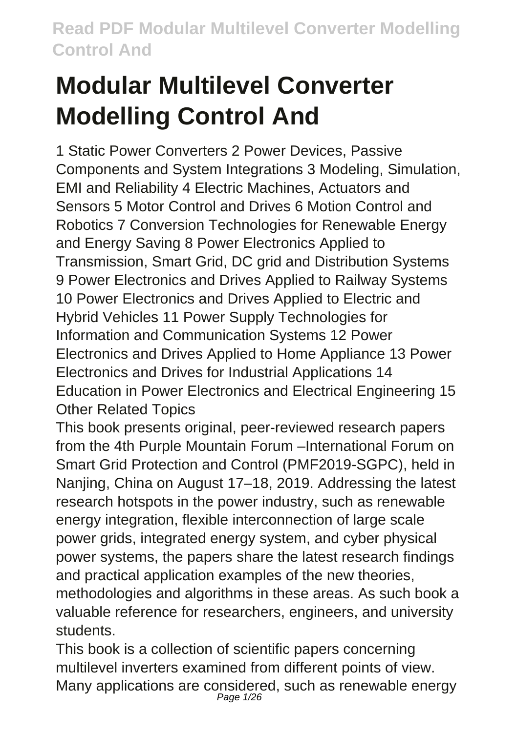# **Modular Multilevel Converter Modelling Control And**

1 Static Power Converters 2 Power Devices, Passive Components and System Integrations 3 Modeling, Simulation, EMI and Reliability 4 Electric Machines, Actuators and Sensors 5 Motor Control and Drives 6 Motion Control and Robotics 7 Conversion Technologies for Renewable Energy and Energy Saving 8 Power Electronics Applied to Transmission, Smart Grid, DC grid and Distribution Systems 9 Power Electronics and Drives Applied to Railway Systems 10 Power Electronics and Drives Applied to Electric and Hybrid Vehicles 11 Power Supply Technologies for Information and Communication Systems 12 Power Electronics and Drives Applied to Home Appliance 13 Power Electronics and Drives for Industrial Applications 14 Education in Power Electronics and Electrical Engineering 15 Other Related Topics

This book presents original, peer-reviewed research papers from the 4th Purple Mountain Forum –International Forum on Smart Grid Protection and Control (PMF2019-SGPC), held in Nanjing, China on August 17–18, 2019. Addressing the latest research hotspots in the power industry, such as renewable energy integration, flexible interconnection of large scale power grids, integrated energy system, and cyber physical power systems, the papers share the latest research findings and practical application examples of the new theories, methodologies and algorithms in these areas. As such book a valuable reference for researchers, engineers, and university students.

This book is a collection of scientific papers concerning multilevel inverters examined from different points of view. Many applications are considered, such as renewable energy<br><sup>Page 1/26</sup>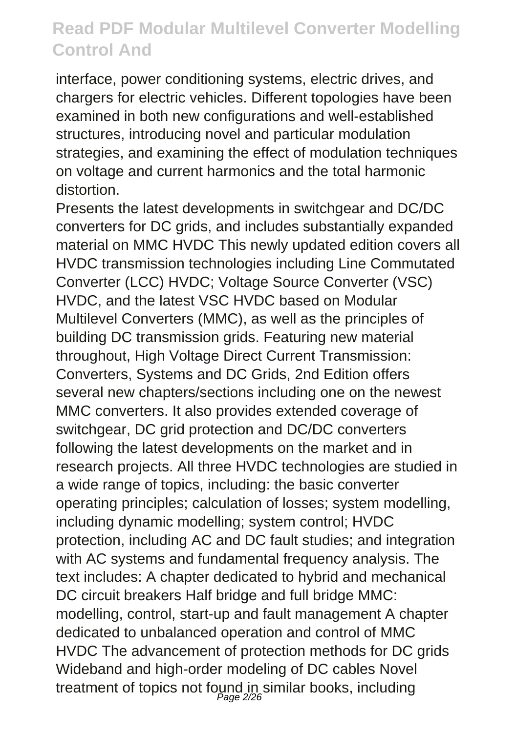interface, power conditioning systems, electric drives, and chargers for electric vehicles. Different topologies have been examined in both new configurations and well-established structures, introducing novel and particular modulation strategies, and examining the effect of modulation techniques on voltage and current harmonics and the total harmonic distortion.

Presents the latest developments in switchgear and DC/DC converters for DC grids, and includes substantially expanded material on MMC HVDC This newly updated edition covers all HVDC transmission technologies including Line Commutated Converter (LCC) HVDC; Voltage Source Converter (VSC) HVDC, and the latest VSC HVDC based on Modular Multilevel Converters (MMC), as well as the principles of building DC transmission grids. Featuring new material throughout, High Voltage Direct Current Transmission: Converters, Systems and DC Grids, 2nd Edition offers several new chapters/sections including one on the newest MMC converters. It also provides extended coverage of switchgear, DC grid protection and DC/DC converters following the latest developments on the market and in research projects. All three HVDC technologies are studied in a wide range of topics, including: the basic converter operating principles; calculation of losses; system modelling, including dynamic modelling; system control; HVDC protection, including AC and DC fault studies; and integration with AC systems and fundamental frequency analysis. The text includes: A chapter dedicated to hybrid and mechanical DC circuit breakers Half bridge and full bridge MMC: modelling, control, start-up and fault management A chapter dedicated to unbalanced operation and control of MMC HVDC The advancement of protection methods for DC grids Wideband and high-order modeling of DC cables Novel treatment of topics not found in similar books, including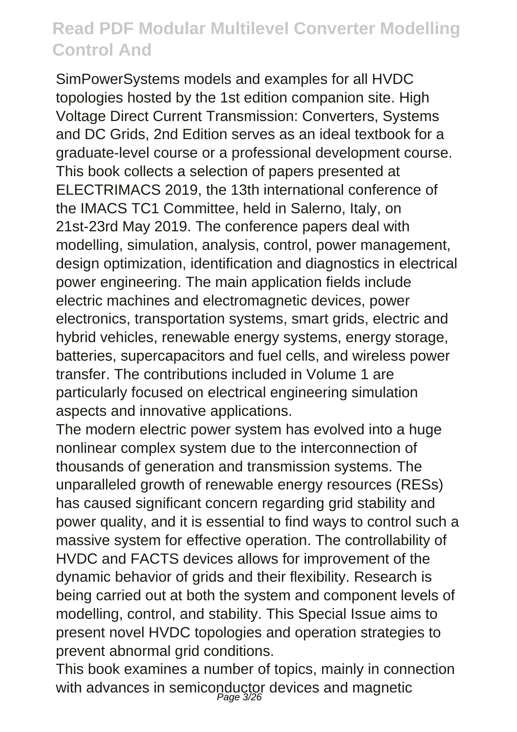SimPowerSystems models and examples for all HVDC topologies hosted by the 1st edition companion site. High Voltage Direct Current Transmission: Converters, Systems and DC Grids, 2nd Edition serves as an ideal textbook for a graduate-level course or a professional development course. This book collects a selection of papers presented at ELECTRIMACS 2019, the 13th international conference of the IMACS TC1 Committee, held in Salerno, Italy, on 21st-23rd May 2019. The conference papers deal with modelling, simulation, analysis, control, power management, design optimization, identification and diagnostics in electrical power engineering. The main application fields include electric machines and electromagnetic devices, power electronics, transportation systems, smart grids, electric and hybrid vehicles, renewable energy systems, energy storage, batteries, supercapacitors and fuel cells, and wireless power transfer. The contributions included in Volume 1 are particularly focused on electrical engineering simulation aspects and innovative applications.

The modern electric power system has evolved into a huge nonlinear complex system due to the interconnection of thousands of generation and transmission systems. The unparalleled growth of renewable energy resources (RESs) has caused significant concern regarding grid stability and power quality, and it is essential to find ways to control such a massive system for effective operation. The controllability of HVDC and FACTS devices allows for improvement of the dynamic behavior of grids and their flexibility. Research is being carried out at both the system and component levels of modelling, control, and stability. This Special Issue aims to present novel HVDC topologies and operation strategies to prevent abnormal grid conditions.

This book examines a number of topics, mainly in connection with advances in semiconductor devices and magnetic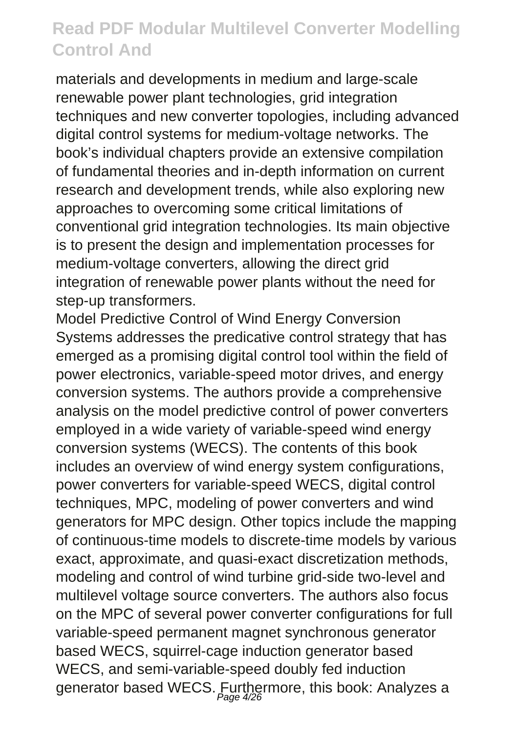materials and developments in medium and large-scale renewable power plant technologies, grid integration techniques and new converter topologies, including advanced digital control systems for medium-voltage networks. The book's individual chapters provide an extensive compilation of fundamental theories and in-depth information on current research and development trends, while also exploring new approaches to overcoming some critical limitations of conventional grid integration technologies. Its main objective is to present the design and implementation processes for medium-voltage converters, allowing the direct grid integration of renewable power plants without the need for step-up transformers.

Model Predictive Control of Wind Energy Conversion Systems addresses the predicative control strategy that has emerged as a promising digital control tool within the field of power electronics, variable-speed motor drives, and energy conversion systems. The authors provide a comprehensive analysis on the model predictive control of power converters employed in a wide variety of variable-speed wind energy conversion systems (WECS). The contents of this book includes an overview of wind energy system configurations, power converters for variable-speed WECS, digital control techniques, MPC, modeling of power converters and wind generators for MPC design. Other topics include the mapping of continuous-time models to discrete-time models by various exact, approximate, and quasi-exact discretization methods, modeling and control of wind turbine grid-side two-level and multilevel voltage source converters. The authors also focus on the MPC of several power converter configurations for full variable-speed permanent magnet synchronous generator based WECS, squirrel-cage induction generator based WECS, and semi-variable-speed doubly fed induction generator based WECS. Furthermore, this book: Analyzes a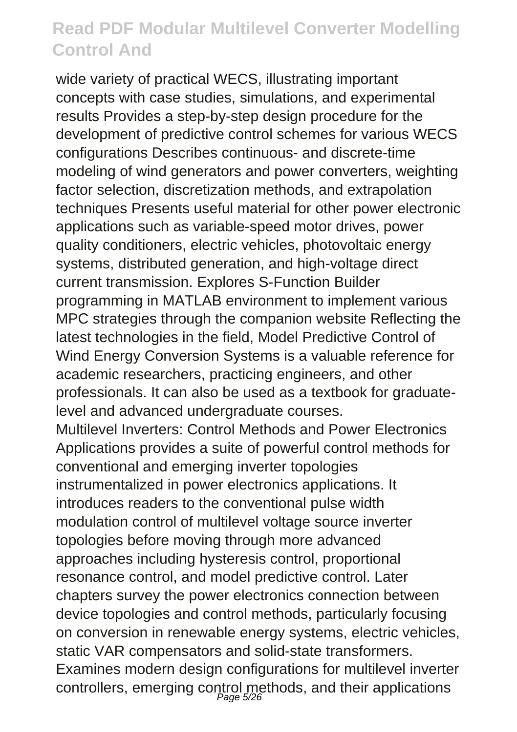wide variety of practical WECS, illustrating important concepts with case studies, simulations, and experimental results Provides a step-by-step design procedure for the development of predictive control schemes for various WECS configurations Describes continuous- and discrete-time modeling of wind generators and power converters, weighting factor selection, discretization methods, and extrapolation techniques Presents useful material for other power electronic applications such as variable-speed motor drives, power quality conditioners, electric vehicles, photovoltaic energy systems, distributed generation, and high-voltage direct current transmission. Explores S-Function Builder programming in MATLAB environment to implement various MPC strategies through the companion website Reflecting the latest technologies in the field, Model Predictive Control of Wind Energy Conversion Systems is a valuable reference for academic researchers, practicing engineers, and other professionals. It can also be used as a textbook for graduatelevel and advanced undergraduate courses. Multilevel Inverters: Control Methods and Power Electronics Applications provides a suite of powerful control methods for conventional and emerging inverter topologies instrumentalized in power electronics applications. It introduces readers to the conventional pulse width modulation control of multilevel voltage source inverter topologies before moving through more advanced approaches including hysteresis control, proportional resonance control, and model predictive control. Later chapters survey the power electronics connection between device topologies and control methods, particularly focusing on conversion in renewable energy systems, electric vehicles, static VAR compensators and solid-state transformers. Examines modern design configurations for multilevel inverter controllers, emerging control methods, and their applications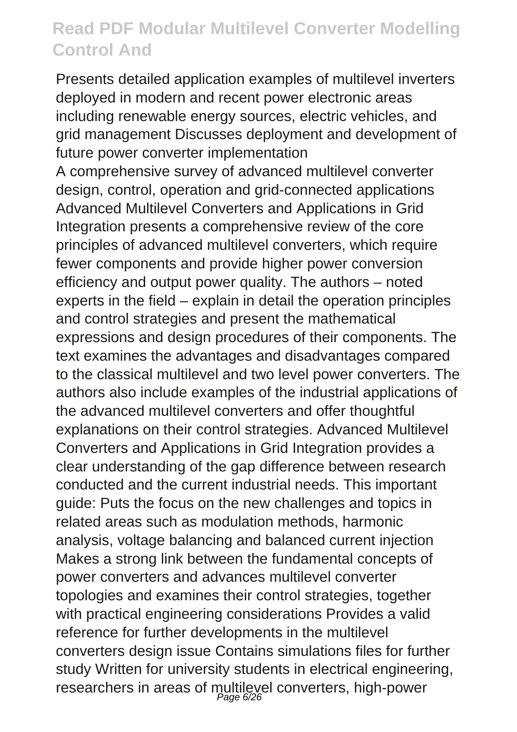Presents detailed application examples of multilevel inverters deployed in modern and recent power electronic areas including renewable energy sources, electric vehicles, and grid management Discusses deployment and development of future power converter implementation A comprehensive survey of advanced multilevel converter design, control, operation and grid-connected applications Advanced Multilevel Converters and Applications in Grid Integration presents a comprehensive review of the core principles of advanced multilevel converters, which require fewer components and provide higher power conversion efficiency and output power quality. The authors – noted experts in the field – explain in detail the operation principles and control strategies and present the mathematical expressions and design procedures of their components. The text examines the advantages and disadvantages compared to the classical multilevel and two level power converters. The authors also include examples of the industrial applications of the advanced multilevel converters and offer thoughtful explanations on their control strategies. Advanced Multilevel Converters and Applications in Grid Integration provides a clear understanding of the gap difference between research conducted and the current industrial needs. This important guide: Puts the focus on the new challenges and topics in related areas such as modulation methods, harmonic analysis, voltage balancing and balanced current injection Makes a strong link between the fundamental concepts of power converters and advances multilevel converter topologies and examines their control strategies, together with practical engineering considerations Provides a valid reference for further developments in the multilevel converters design issue Contains simulations files for further study Written for university students in electrical engineering, researchers in areas of multilevel converters, high-power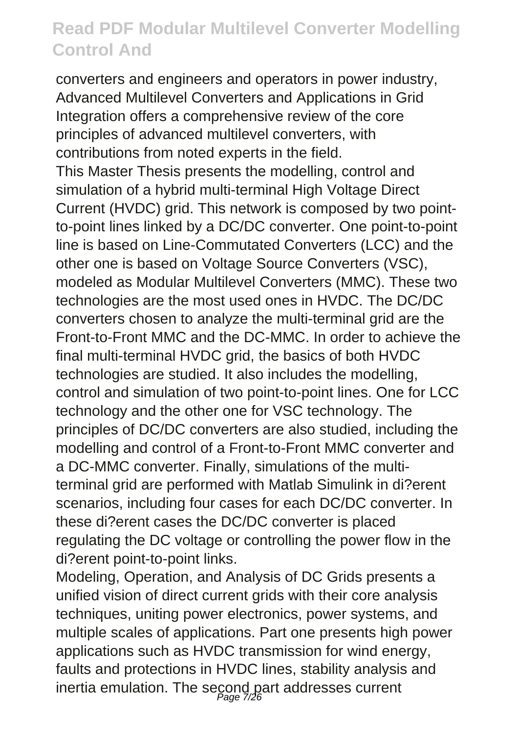converters and engineers and operators in power industry, Advanced Multilevel Converters and Applications in Grid Integration offers a comprehensive review of the core principles of advanced multilevel converters, with contributions from noted experts in the field. This Master Thesis presents the modelling, control and simulation of a hybrid multi-terminal High Voltage Direct Current (HVDC) grid. This network is composed by two pointto-point lines linked by a DC/DC converter. One point-to-point line is based on Line-Commutated Converters (LCC) and the other one is based on Voltage Source Converters (VSC), modeled as Modular Multilevel Converters (MMC). These two technologies are the most used ones in HVDC. The DC/DC converters chosen to analyze the multi-terminal grid are the Front-to-Front MMC and the DC-MMC. In order to achieve the final multi-terminal HVDC grid, the basics of both HVDC technologies are studied. It also includes the modelling, control and simulation of two point-to-point lines. One for LCC technology and the other one for VSC technology. The principles of DC/DC converters are also studied, including the modelling and control of a Front-to-Front MMC converter and a DC-MMC converter. Finally, simulations of the multiterminal grid are performed with Matlab Simulink in di?erent scenarios, including four cases for each DC/DC converter. In these di?erent cases the DC/DC converter is placed regulating the DC voltage or controlling the power flow in the di?erent point-to-point links.

Modeling, Operation, and Analysis of DC Grids presents a unified vision of direct current grids with their core analysis techniques, uniting power electronics, power systems, and multiple scales of applications. Part one presents high power applications such as HVDC transmission for wind energy, faults and protections in HVDC lines, stability analysis and inertia emulation. The second part addresses current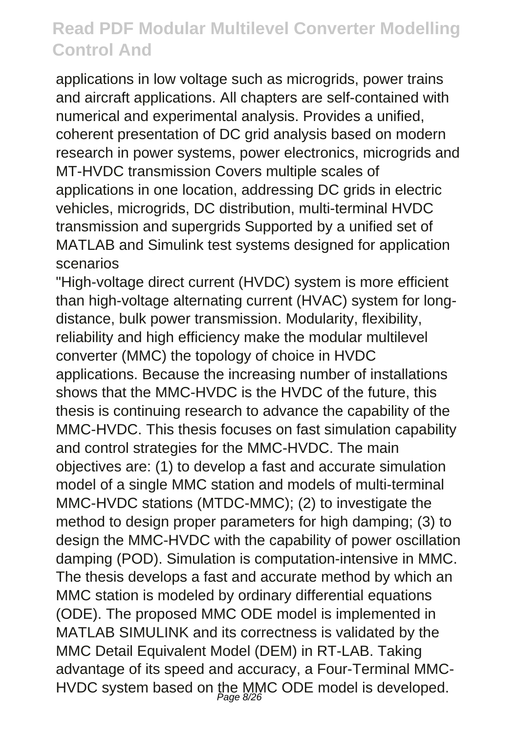applications in low voltage such as microgrids, power trains and aircraft applications. All chapters are self-contained with numerical and experimental analysis. Provides a unified, coherent presentation of DC grid analysis based on modern research in power systems, power electronics, microgrids and MT-HVDC transmission Covers multiple scales of applications in one location, addressing DC grids in electric vehicles, microgrids, DC distribution, multi-terminal HVDC transmission and supergrids Supported by a unified set of MATLAB and Simulink test systems designed for application scenarios

"High-voltage direct current (HVDC) system is more efficient than high-voltage alternating current (HVAC) system for longdistance, bulk power transmission. Modularity, flexibility, reliability and high efficiency make the modular multilevel converter (MMC) the topology of choice in HVDC applications. Because the increasing number of installations shows that the MMC-HVDC is the HVDC of the future, this thesis is continuing research to advance the capability of the MMC-HVDC. This thesis focuses on fast simulation capability and control strategies for the MMC-HVDC. The main objectives are: (1) to develop a fast and accurate simulation model of a single MMC station and models of multi-terminal MMC-HVDC stations (MTDC-MMC); (2) to investigate the method to design proper parameters for high damping; (3) to design the MMC-HVDC with the capability of power oscillation damping (POD). Simulation is computation-intensive in MMC. The thesis develops a fast and accurate method by which an MMC station is modeled by ordinary differential equations (ODE). The proposed MMC ODE model is implemented in MATLAB SIMULINK and its correctness is validated by the MMC Detail Equivalent Model (DEM) in RT-LAB. Taking advantage of its speed and accuracy, a Four-Terminal MMC-HVDC system based on the MMC ODE model is developed.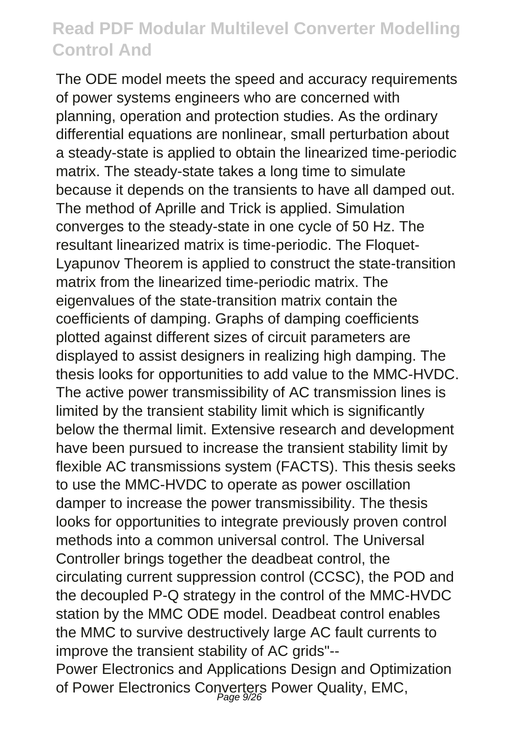The ODE model meets the speed and accuracy requirements of power systems engineers who are concerned with planning, operation and protection studies. As the ordinary differential equations are nonlinear, small perturbation about a steady-state is applied to obtain the linearized time-periodic matrix. The steady-state takes a long time to simulate because it depends on the transients to have all damped out. The method of Aprille and Trick is applied. Simulation converges to the steady-state in one cycle of 50 Hz. The resultant linearized matrix is time-periodic. The Floquet-Lyapunov Theorem is applied to construct the state-transition matrix from the linearized time-periodic matrix. The eigenvalues of the state-transition matrix contain the coefficients of damping. Graphs of damping coefficients plotted against different sizes of circuit parameters are displayed to assist designers in realizing high damping. The thesis looks for opportunities to add value to the MMC-HVDC. The active power transmissibility of AC transmission lines is limited by the transient stability limit which is significantly below the thermal limit. Extensive research and development have been pursued to increase the transient stability limit by flexible AC transmissions system (FACTS). This thesis seeks to use the MMC-HVDC to operate as power oscillation damper to increase the power transmissibility. The thesis looks for opportunities to integrate previously proven control methods into a common universal control. The Universal Controller brings together the deadbeat control, the circulating current suppression control (CCSC), the POD and the decoupled P-Q strategy in the control of the MMC-HVDC station by the MMC ODE model. Deadbeat control enables the MMC to survive destructively large AC fault currents to improve the transient stability of AC grids"--

Power Electronics and Applications Design and Optimization of Power Electronics Converters Power Quality, EMC,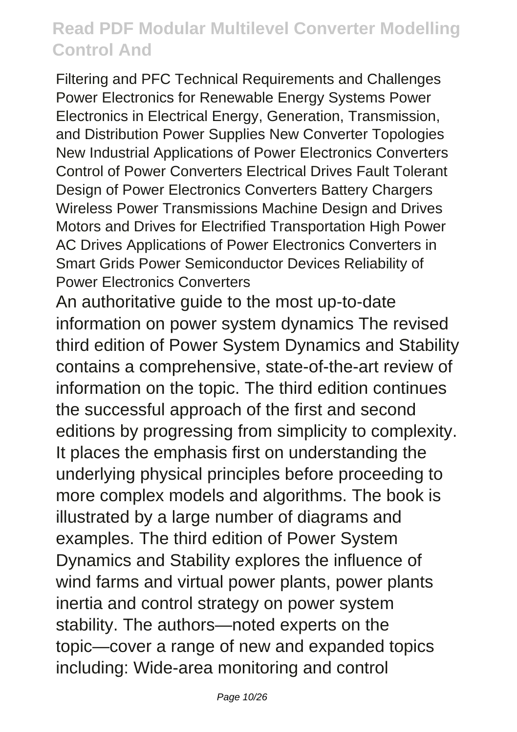Filtering and PFC Technical Requirements and Challenges Power Electronics for Renewable Energy Systems Power Electronics in Electrical Energy, Generation, Transmission, and Distribution Power Supplies New Converter Topologies New Industrial Applications of Power Electronics Converters Control of Power Converters Electrical Drives Fault Tolerant Design of Power Electronics Converters Battery Chargers Wireless Power Transmissions Machine Design and Drives Motors and Drives for Electrified Transportation High Power AC Drives Applications of Power Electronics Converters in Smart Grids Power Semiconductor Devices Reliability of Power Electronics Converters

An authoritative guide to the most up-to-date information on power system dynamics The revised third edition of Power System Dynamics and Stability contains a comprehensive, state-of-the-art review of information on the topic. The third edition continues the successful approach of the first and second editions by progressing from simplicity to complexity. It places the emphasis first on understanding the underlying physical principles before proceeding to more complex models and algorithms. The book is illustrated by a large number of diagrams and examples. The third edition of Power System Dynamics and Stability explores the influence of wind farms and virtual power plants, power plants inertia and control strategy on power system stability. The authors—noted experts on the topic—cover a range of new and expanded topics including: Wide-area monitoring and control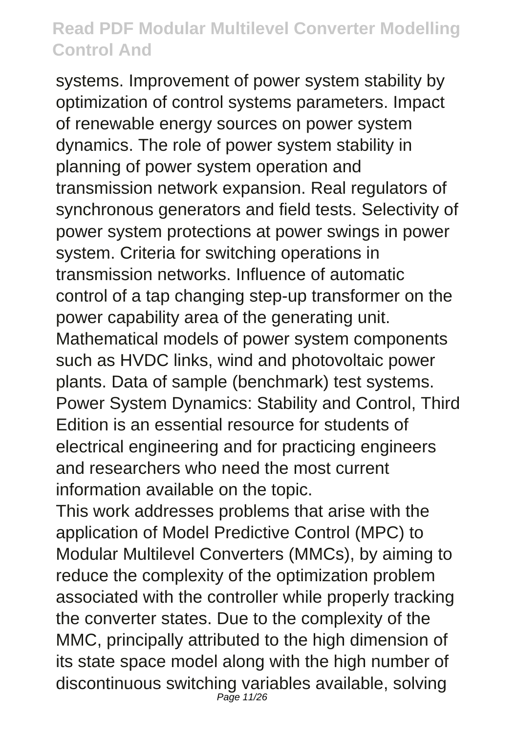systems. Improvement of power system stability by optimization of control systems parameters. Impact of renewable energy sources on power system dynamics. The role of power system stability in planning of power system operation and transmission network expansion. Real regulators of synchronous generators and field tests. Selectivity of power system protections at power swings in power system. Criteria for switching operations in transmission networks. Influence of automatic control of a tap changing step-up transformer on the power capability area of the generating unit. Mathematical models of power system components such as HVDC links, wind and photovoltaic power plants. Data of sample (benchmark) test systems. Power System Dynamics: Stability and Control, Third Edition is an essential resource for students of electrical engineering and for practicing engineers and researchers who need the most current information available on the topic.

This work addresses problems that arise with the application of Model Predictive Control (MPC) to Modular Multilevel Converters (MMCs), by aiming to reduce the complexity of the optimization problem associated with the controller while properly tracking the converter states. Due to the complexity of the MMC, principally attributed to the high dimension of its state space model along with the high number of discontinuous switching variables available, solving Page 11/26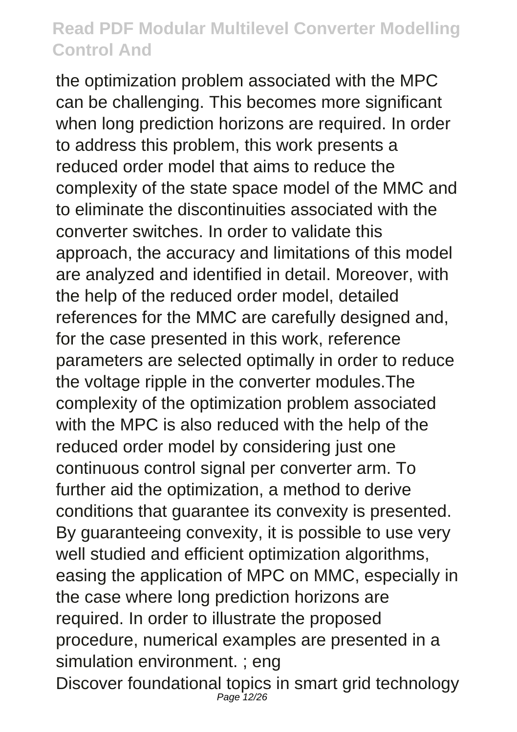the optimization problem associated with the MPC can be challenging. This becomes more significant when long prediction horizons are required. In order to address this problem, this work presents a reduced order model that aims to reduce the complexity of the state space model of the MMC and to eliminate the discontinuities associated with the converter switches. In order to validate this approach, the accuracy and limitations of this model are analyzed and identified in detail. Moreover, with the help of the reduced order model, detailed references for the MMC are carefully designed and, for the case presented in this work, reference parameters are selected optimally in order to reduce the voltage ripple in the converter modules.The complexity of the optimization problem associated with the MPC is also reduced with the help of the reduced order model by considering just one continuous control signal per converter arm. To further aid the optimization, a method to derive conditions that guarantee its convexity is presented. By guaranteeing convexity, it is possible to use very well studied and efficient optimization algorithms, easing the application of MPC on MMC, especially in the case where long prediction horizons are required. In order to illustrate the proposed procedure, numerical examples are presented in a simulation environment. ; eng Discover foundational topics in smart grid technology Page 12/26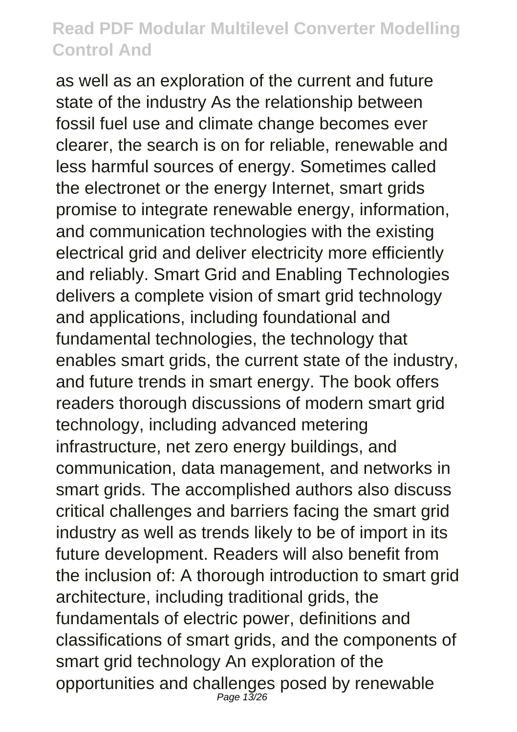as well as an exploration of the current and future state of the industry As the relationship between fossil fuel use and climate change becomes ever clearer, the search is on for reliable, renewable and less harmful sources of energy. Sometimes called the electronet or the energy Internet, smart grids promise to integrate renewable energy, information, and communication technologies with the existing electrical grid and deliver electricity more efficiently and reliably. Smart Grid and Enabling Technologies delivers a complete vision of smart grid technology and applications, including foundational and fundamental technologies, the technology that enables smart grids, the current state of the industry, and future trends in smart energy. The book offers readers thorough discussions of modern smart grid technology, including advanced metering infrastructure, net zero energy buildings, and communication, data management, and networks in smart grids. The accomplished authors also discuss critical challenges and barriers facing the smart grid industry as well as trends likely to be of import in its future development. Readers will also benefit from the inclusion of: A thorough introduction to smart grid architecture, including traditional grids, the fundamentals of electric power, definitions and classifications of smart grids, and the components of smart grid technology An exploration of the opportunities and challenges posed by renewable Page 13/26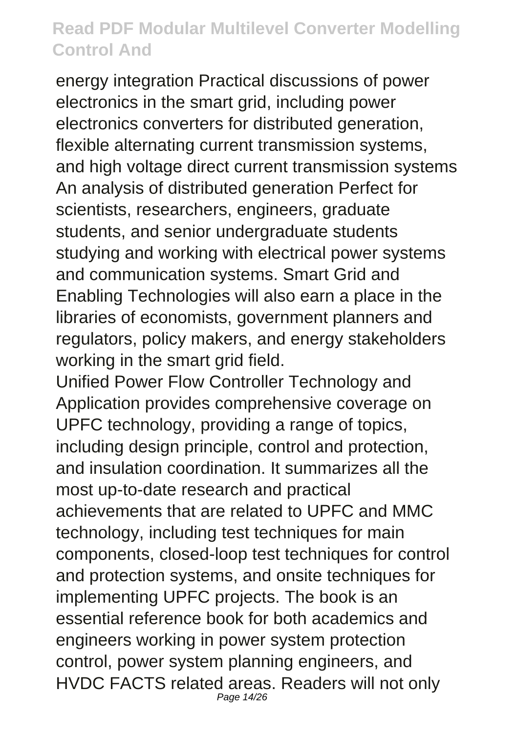energy integration Practical discussions of power electronics in the smart grid, including power electronics converters for distributed generation, flexible alternating current transmission systems, and high voltage direct current transmission systems An analysis of distributed generation Perfect for scientists, researchers, engineers, graduate students, and senior undergraduate students studying and working with electrical power systems and communication systems. Smart Grid and Enabling Technologies will also earn a place in the libraries of economists, government planners and regulators, policy makers, and energy stakeholders working in the smart grid field.

Unified Power Flow Controller Technology and Application provides comprehensive coverage on UPFC technology, providing a range of topics, including design principle, control and protection, and insulation coordination. It summarizes all the most up-to-date research and practical achievements that are related to UPFC and MMC technology, including test techniques for main components, closed-loop test techniques for control and protection systems, and onsite techniques for implementing UPFC projects. The book is an essential reference book for both academics and engineers working in power system protection control, power system planning engineers, and HVDC FACTS related areas. Readers will not only Page 14/26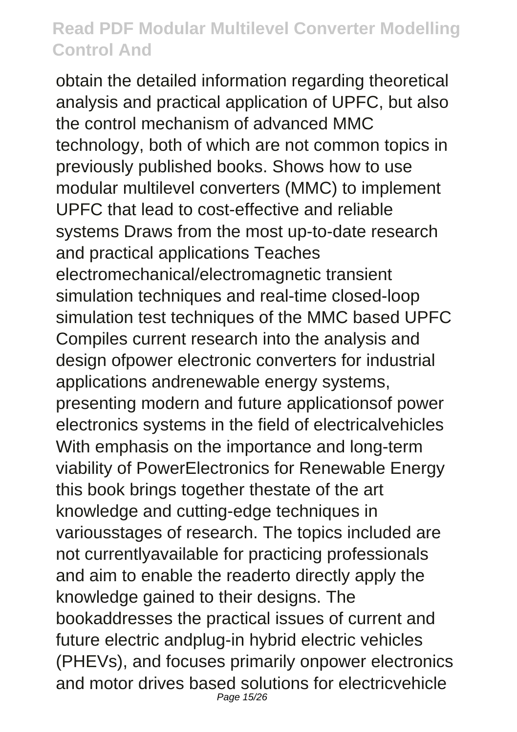obtain the detailed information regarding theoretical analysis and practical application of UPFC, but also the control mechanism of advanced MMC technology, both of which are not common topics in previously published books. Shows how to use modular multilevel converters (MMC) to implement UPFC that lead to cost-effective and reliable systems Draws from the most up-to-date research and practical applications Teaches electromechanical/electromagnetic transient simulation techniques and real-time closed-loop simulation test techniques of the MMC based UPFC Compiles current research into the analysis and design ofpower electronic converters for industrial applications andrenewable energy systems, presenting modern and future applicationsof power electronics systems in the field of electricalvehicles With emphasis on the importance and long-term viability of PowerElectronics for Renewable Energy this book brings together thestate of the art knowledge and cutting-edge techniques in variousstages of research. The topics included are not currentlyavailable for practicing professionals and aim to enable the readerto directly apply the knowledge gained to their designs. The bookaddresses the practical issues of current and future electric andplug-in hybrid electric vehicles (PHEVs), and focuses primarily onpower electronics and motor drives based solutions for electricvehicle Page 15/26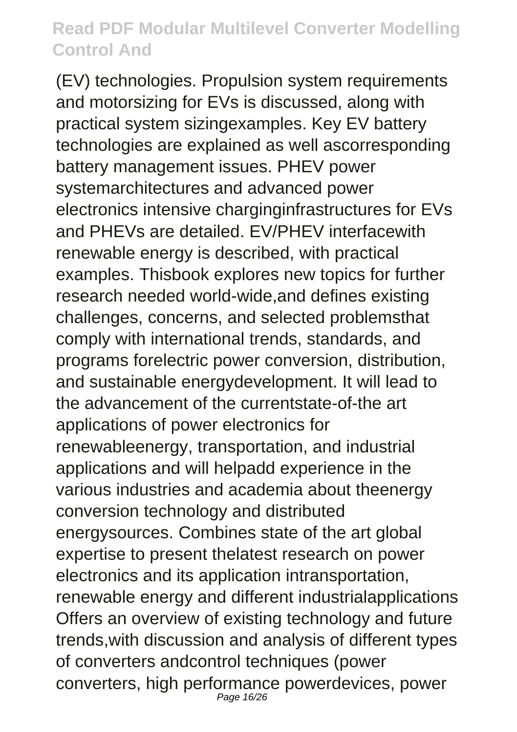(EV) technologies. Propulsion system requirements and motorsizing for EVs is discussed, along with practical system sizingexamples. Key EV battery technologies are explained as well ascorresponding battery management issues. PHEV power systemarchitectures and advanced power electronics intensive charginginfrastructures for EVs and PHEVs are detailed. EV/PHEV interfacewith renewable energy is described, with practical examples. Thisbook explores new topics for further research needed world-wide,and defines existing challenges, concerns, and selected problemsthat comply with international trends, standards, and programs forelectric power conversion, distribution, and sustainable energydevelopment. It will lead to the advancement of the currentstate-of-the art applications of power electronics for renewableenergy, transportation, and industrial applications and will helpadd experience in the various industries and academia about theenergy conversion technology and distributed energysources. Combines state of the art global expertise to present thelatest research on power electronics and its application intransportation, renewable energy and different industrialapplications Offers an overview of existing technology and future trends,with discussion and analysis of different types of converters andcontrol techniques (power converters, high performance powerdevices, power Page 16/26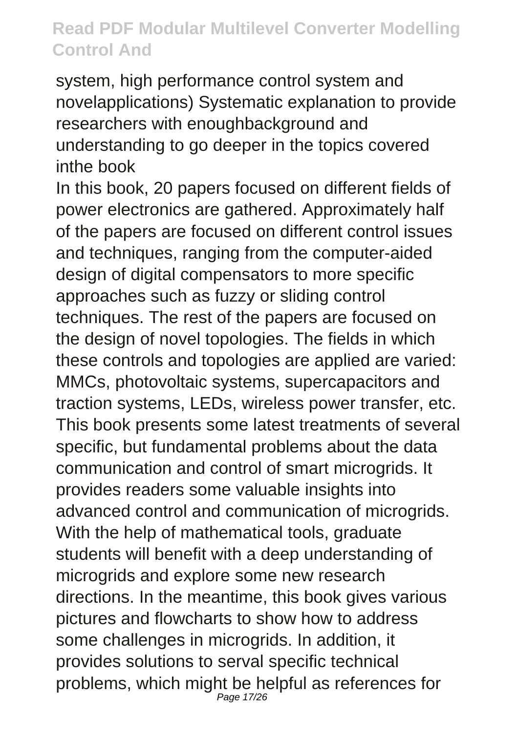system, high performance control system and novelapplications) Systematic explanation to provide researchers with enoughbackground and understanding to go deeper in the topics covered inthe book

In this book, 20 papers focused on different fields of power electronics are gathered. Approximately half of the papers are focused on different control issues and techniques, ranging from the computer-aided design of digital compensators to more specific approaches such as fuzzy or sliding control techniques. The rest of the papers are focused on the design of novel topologies. The fields in which these controls and topologies are applied are varied: MMCs, photovoltaic systems, supercapacitors and traction systems, LEDs, wireless power transfer, etc. This book presents some latest treatments of several specific, but fundamental problems about the data communication and control of smart microgrids. It provides readers some valuable insights into advanced control and communication of microgrids. With the help of mathematical tools, graduate students will benefit with a deep understanding of microgrids and explore some new research directions. In the meantime, this book gives various pictures and flowcharts to show how to address some challenges in microgrids. In addition, it provides solutions to serval specific technical problems, which might be helpful as references for Page 17/26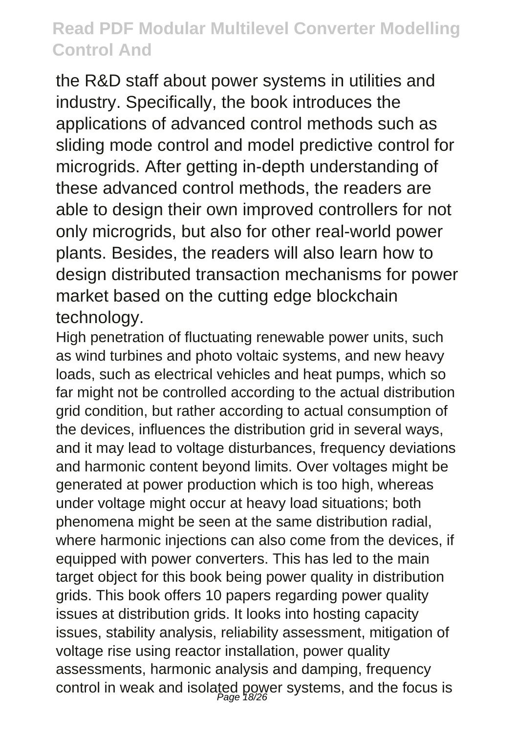the R&D staff about power systems in utilities and industry. Specifically, the book introduces the applications of advanced control methods such as sliding mode control and model predictive control for microgrids. After getting in-depth understanding of these advanced control methods, the readers are able to design their own improved controllers for not only microgrids, but also for other real-world power plants. Besides, the readers will also learn how to design distributed transaction mechanisms for power market based on the cutting edge blockchain technology.

High penetration of fluctuating renewable power units, such as wind turbines and photo voltaic systems, and new heavy loads, such as electrical vehicles and heat pumps, which so far might not be controlled according to the actual distribution grid condition, but rather according to actual consumption of the devices, influences the distribution grid in several ways, and it may lead to voltage disturbances, frequency deviations and harmonic content beyond limits. Over voltages might be generated at power production which is too high, whereas under voltage might occur at heavy load situations; both phenomena might be seen at the same distribution radial, where harmonic injections can also come from the devices, if equipped with power converters. This has led to the main target object for this book being power quality in distribution grids. This book offers 10 papers regarding power quality issues at distribution grids. It looks into hosting capacity issues, stability analysis, reliability assessment, mitigation of voltage rise using reactor installation, power quality assessments, harmonic analysis and damping, frequency control in weak and isolated power systems, and the focus is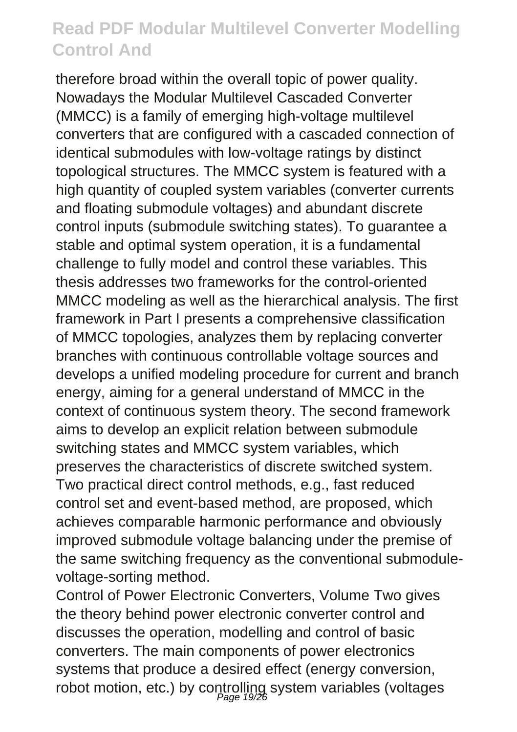therefore broad within the overall topic of power quality. Nowadays the Modular Multilevel Cascaded Converter (MMCC) is a family of emerging high-voltage multilevel converters that are configured with a cascaded connection of identical submodules with low-voltage ratings by distinct topological structures. The MMCC system is featured with a high quantity of coupled system variables (converter currents and floating submodule voltages) and abundant discrete control inputs (submodule switching states). To guarantee a stable and optimal system operation, it is a fundamental challenge to fully model and control these variables. This thesis addresses two frameworks for the control-oriented MMCC modeling as well as the hierarchical analysis. The first framework in Part I presents a comprehensive classification of MMCC topologies, analyzes them by replacing converter branches with continuous controllable voltage sources and develops a unified modeling procedure for current and branch energy, aiming for a general understand of MMCC in the context of continuous system theory. The second framework aims to develop an explicit relation between submodule switching states and MMCC system variables, which preserves the characteristics of discrete switched system. Two practical direct control methods, e.g., fast reduced control set and event-based method, are proposed, which achieves comparable harmonic performance and obviously improved submodule voltage balancing under the premise of the same switching frequency as the conventional submodulevoltage-sorting method.

Control of Power Electronic Converters, Volume Two gives the theory behind power electronic converter control and discusses the operation, modelling and control of basic converters. The main components of power electronics systems that produce a desired effect (energy conversion, robot motion, etc.) by controlling system variables (voltages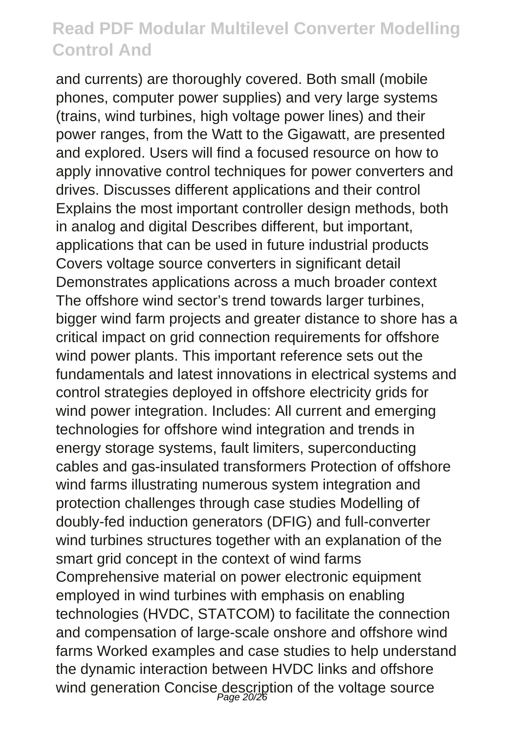and currents) are thoroughly covered. Both small (mobile phones, computer power supplies) and very large systems (trains, wind turbines, high voltage power lines) and their power ranges, from the Watt to the Gigawatt, are presented and explored. Users will find a focused resource on how to apply innovative control techniques for power converters and drives. Discusses different applications and their control Explains the most important controller design methods, both in analog and digital Describes different, but important, applications that can be used in future industrial products Covers voltage source converters in significant detail Demonstrates applications across a much broader context The offshore wind sector's trend towards larger turbines, bigger wind farm projects and greater distance to shore has a critical impact on grid connection requirements for offshore wind power plants. This important reference sets out the fundamentals and latest innovations in electrical systems and control strategies deployed in offshore electricity grids for wind power integration. Includes: All current and emerging technologies for offshore wind integration and trends in energy storage systems, fault limiters, superconducting cables and gas-insulated transformers Protection of offshore wind farms illustrating numerous system integration and protection challenges through case studies Modelling of doubly-fed induction generators (DFIG) and full-converter wind turbines structures together with an explanation of the smart grid concept in the context of wind farms Comprehensive material on power electronic equipment employed in wind turbines with emphasis on enabling technologies (HVDC, STATCOM) to facilitate the connection and compensation of large-scale onshore and offshore wind farms Worked examples and case studies to help understand the dynamic interaction between HVDC links and offshore wind generation Concise description of the voltage source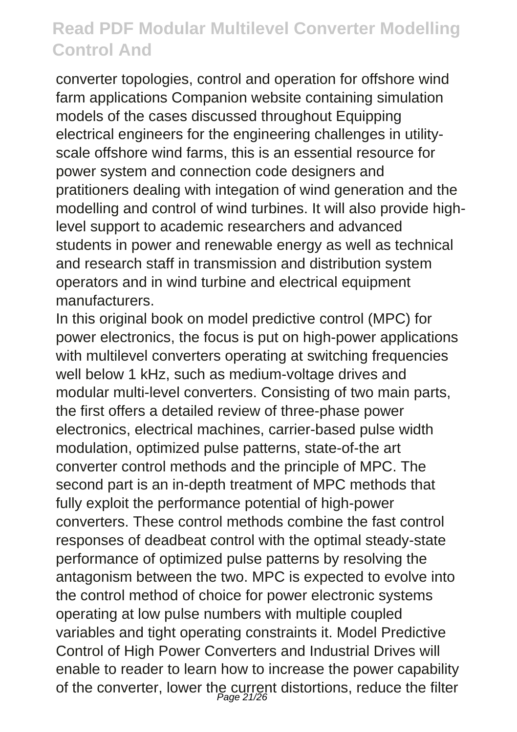converter topologies, control and operation for offshore wind farm applications Companion website containing simulation models of the cases discussed throughout Equipping electrical engineers for the engineering challenges in utilityscale offshore wind farms, this is an essential resource for power system and connection code designers and pratitioners dealing with integation of wind generation and the modelling and control of wind turbines. It will also provide highlevel support to academic researchers and advanced students in power and renewable energy as well as technical and research staff in transmission and distribution system operators and in wind turbine and electrical equipment manufacturers.

In this original book on model predictive control (MPC) for power electronics, the focus is put on high-power applications with multilevel converters operating at switching frequencies well below 1 kHz, such as medium-voltage drives and modular multi-level converters. Consisting of two main parts, the first offers a detailed review of three-phase power electronics, electrical machines, carrier-based pulse width modulation, optimized pulse patterns, state-of-the art converter control methods and the principle of MPC. The second part is an in-depth treatment of MPC methods that fully exploit the performance potential of high-power converters. These control methods combine the fast control responses of deadbeat control with the optimal steady-state performance of optimized pulse patterns by resolving the antagonism between the two. MPC is expected to evolve into the control method of choice for power electronic systems operating at low pulse numbers with multiple coupled variables and tight operating constraints it. Model Predictive Control of High Power Converters and Industrial Drives will enable to reader to learn how to increase the power capability of the converter, lower the current distortions, reduce the filter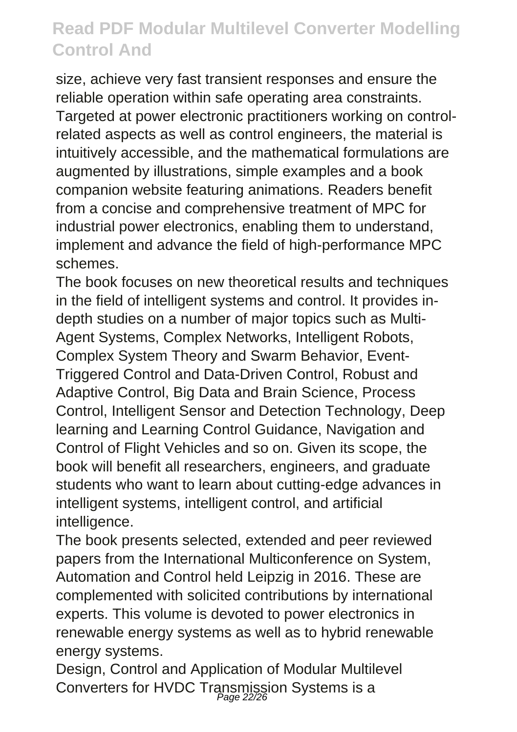size, achieve very fast transient responses and ensure the reliable operation within safe operating area constraints. Targeted at power electronic practitioners working on controlrelated aspects as well as control engineers, the material is intuitively accessible, and the mathematical formulations are augmented by illustrations, simple examples and a book companion website featuring animations. Readers benefit from a concise and comprehensive treatment of MPC for industrial power electronics, enabling them to understand, implement and advance the field of high-performance MPC schemes.

The book focuses on new theoretical results and techniques in the field of intelligent systems and control. It provides indepth studies on a number of major topics such as Multi-Agent Systems, Complex Networks, Intelligent Robots, Complex System Theory and Swarm Behavior, Event-Triggered Control and Data-Driven Control, Robust and Adaptive Control, Big Data and Brain Science, Process Control, Intelligent Sensor and Detection Technology, Deep learning and Learning Control Guidance, Navigation and Control of Flight Vehicles and so on. Given its scope, the book will benefit all researchers, engineers, and graduate students who want to learn about cutting-edge advances in intelligent systems, intelligent control, and artificial intelligence.

The book presents selected, extended and peer reviewed papers from the International Multiconference on System, Automation and Control held Leipzig in 2016. These are complemented with solicited contributions by international experts. This volume is devoted to power electronics in renewable energy systems as well as to hybrid renewable energy systems.

Design, Control and Application of Modular Multilevel Converters for HVDC Transmission Systems is a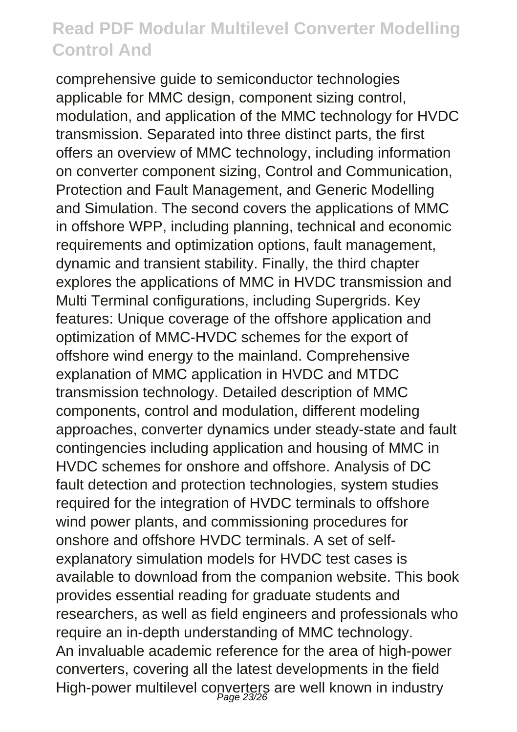comprehensive guide to semiconductor technologies applicable for MMC design, component sizing control, modulation, and application of the MMC technology for HVDC transmission. Separated into three distinct parts, the first offers an overview of MMC technology, including information on converter component sizing, Control and Communication, Protection and Fault Management, and Generic Modelling and Simulation. The second covers the applications of MMC in offshore WPP, including planning, technical and economic requirements and optimization options, fault management, dynamic and transient stability. Finally, the third chapter explores the applications of MMC in HVDC transmission and Multi Terminal configurations, including Supergrids. Key features: Unique coverage of the offshore application and optimization of MMC-HVDC schemes for the export of offshore wind energy to the mainland. Comprehensive explanation of MMC application in HVDC and MTDC transmission technology. Detailed description of MMC components, control and modulation, different modeling approaches, converter dynamics under steady-state and fault contingencies including application and housing of MMC in HVDC schemes for onshore and offshore. Analysis of DC fault detection and protection technologies, system studies required for the integration of HVDC terminals to offshore wind power plants, and commissioning procedures for onshore and offshore HVDC terminals. A set of selfexplanatory simulation models for HVDC test cases is available to download from the companion website. This book provides essential reading for graduate students and researchers, as well as field engineers and professionals who require an in-depth understanding of MMC technology. An invaluable academic reference for the area of high-power converters, covering all the latest developments in the field High-power multilevel converters are well known in industry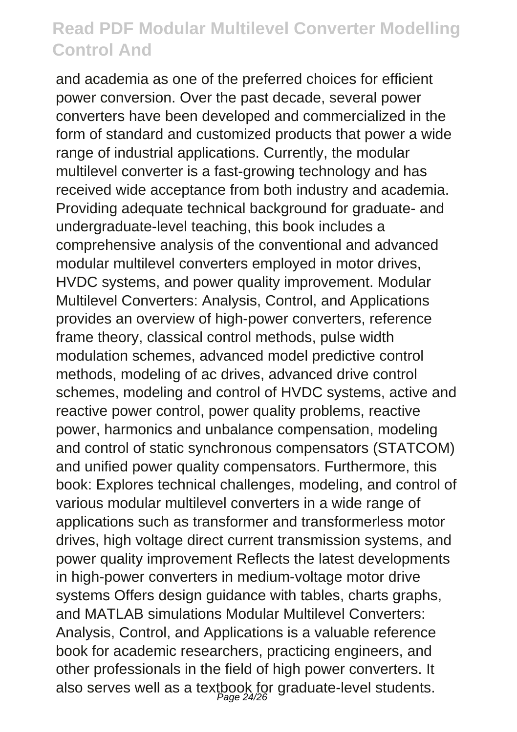and academia as one of the preferred choices for efficient power conversion. Over the past decade, several power converters have been developed and commercialized in the form of standard and customized products that power a wide range of industrial applications. Currently, the modular multilevel converter is a fast-growing technology and has received wide acceptance from both industry and academia. Providing adequate technical background for graduate- and undergraduate-level teaching, this book includes a comprehensive analysis of the conventional and advanced modular multilevel converters employed in motor drives, HVDC systems, and power quality improvement. Modular Multilevel Converters: Analysis, Control, and Applications provides an overview of high-power converters, reference frame theory, classical control methods, pulse width modulation schemes, advanced model predictive control methods, modeling of ac drives, advanced drive control schemes, modeling and control of HVDC systems, active and reactive power control, power quality problems, reactive power, harmonics and unbalance compensation, modeling and control of static synchronous compensators (STATCOM) and unified power quality compensators. Furthermore, this book: Explores technical challenges, modeling, and control of various modular multilevel converters in a wide range of applications such as transformer and transformerless motor drives, high voltage direct current transmission systems, and power quality improvement Reflects the latest developments in high-power converters in medium-voltage motor drive systems Offers design guidance with tables, charts graphs, and MATLAB simulations Modular Multilevel Converters: Analysis, Control, and Applications is a valuable reference book for academic researchers, practicing engineers, and other professionals in the field of high power converters. It also serves well as a textbook for graduate-level students.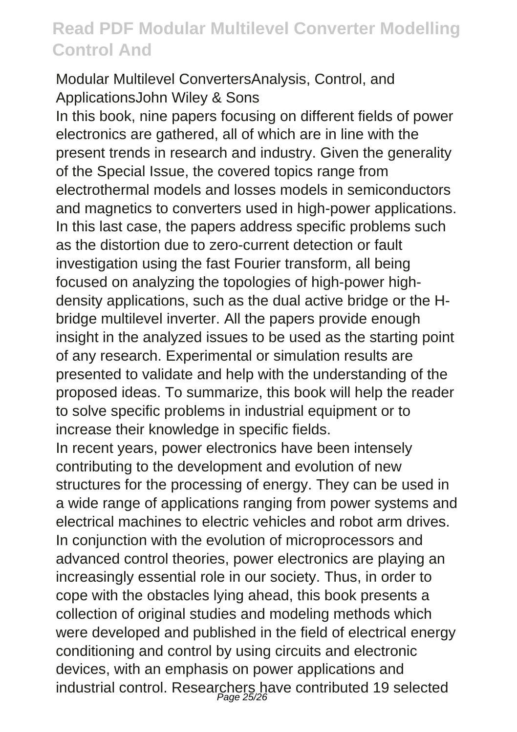#### Modular Multilevel ConvertersAnalysis, Control, and ApplicationsJohn Wiley & Sons

In this book, nine papers focusing on different fields of power electronics are gathered, all of which are in line with the present trends in research and industry. Given the generality of the Special Issue, the covered topics range from electrothermal models and losses models in semiconductors and magnetics to converters used in high-power applications. In this last case, the papers address specific problems such as the distortion due to zero-current detection or fault investigation using the fast Fourier transform, all being focused on analyzing the topologies of high-power highdensity applications, such as the dual active bridge or the Hbridge multilevel inverter. All the papers provide enough insight in the analyzed issues to be used as the starting point of any research. Experimental or simulation results are presented to validate and help with the understanding of the proposed ideas. To summarize, this book will help the reader to solve specific problems in industrial equipment or to increase their knowledge in specific fields.

In recent years, power electronics have been intensely contributing to the development and evolution of new structures for the processing of energy. They can be used in a wide range of applications ranging from power systems and electrical machines to electric vehicles and robot arm drives. In conjunction with the evolution of microprocessors and advanced control theories, power electronics are playing an increasingly essential role in our society. Thus, in order to cope with the obstacles lying ahead, this book presents a collection of original studies and modeling methods which were developed and published in the field of electrical energy conditioning and control by using circuits and electronic devices, with an emphasis on power applications and industrial control. Researchers have contributed 19 selected